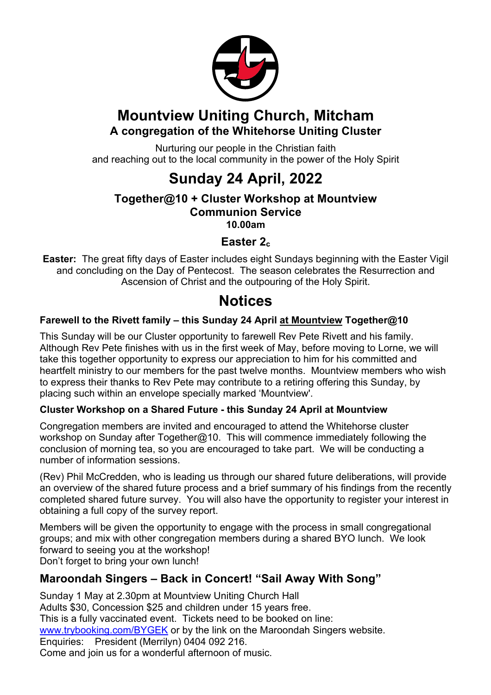

# **Mountview Uniting Church, Mitcham A congregation of the Whitehorse Uniting Cluster**

Nurturing our people in the Christian faith and reaching out to the local community in the power of the Holy Spirit

# **Sunday 24 April, 2022**

#### **Together@10 + Cluster Workshop at Mountview Communion Service 10.00am**

**Easter 2c**

**Easter:** The great fifty days of Easter includes eight Sundays beginning with the Easter Vigil and concluding on the Day of Pentecost. The season celebrates the Resurrection and Ascension of Christ and the outpouring of the Holy Spirit.

# **Notices**

#### **Farewell to the Rivett family – this Sunday 24 April at Mountview Together@10**

This Sunday will be our Cluster opportunity to farewell Rev Pete Rivett and his family. Although Rev Pete finishes with us in the first week of May, before moving to Lorne, we will take this together opportunity to express our appreciation to him for his committed and heartfelt ministry to our members for the past twelve months. Mountview members who wish to express their thanks to Rev Pete may contribute to a retiring offering this Sunday, by placing such within an envelope specially marked 'Mountview'.

#### **Cluster Workshop on a Shared Future - this Sunday 24 April at Mountview**

Congregation members are invited and encouraged to attend the Whitehorse cluster workshop on Sunday after Together@10. This will commence immediately following the conclusion of morning tea, so you are encouraged to take part. We will be conducting a number of information sessions.

(Rev) Phil McCredden, who is leading us through our shared future deliberations, will provide an overview of the shared future process and a brief summary of his findings from the recently completed shared future survey. You will also have the opportunity to register your interest in obtaining a full copy of the survey report.

Members will be given the opportunity to engage with the process in small congregational groups; and mix with other congregation members during a shared BYO lunch. We look forward to seeing you at the workshop! Don't forget to bring your own lunch!

### **Maroondah Singers – Back in Concert! "Sail Away With Song"**

Sunday 1 May at 2.30pm at Mountview Uniting Church Hall Adults \$30, Concession \$25 and children under 15 years free. This is a fully vaccinated event. Tickets need to be booked on line: www.trybooking.com/BYGEK or by the link on the Maroondah Singers website. Enquiries: President (Merrilyn) 0404 092 216. Come and join us for a wonderful afternoon of music.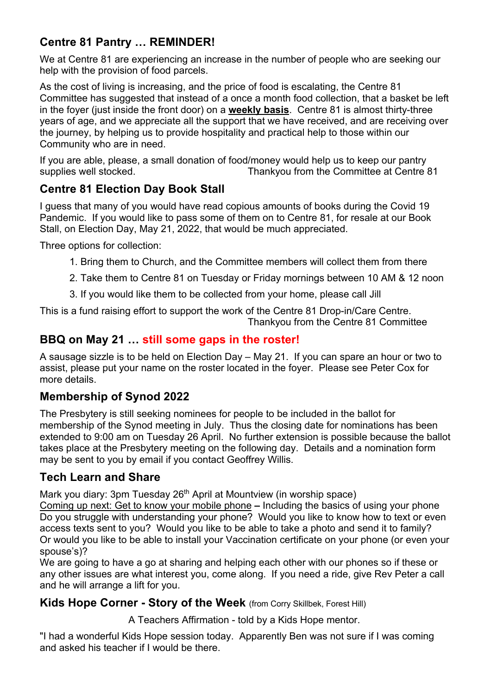## **Centre 81 Pantry … REMINDER!**

We at Centre 81 are experiencing an increase in the number of people who are seeking our help with the provision of food parcels.

As the cost of living is increasing, and the price of food is escalating, the Centre 81 Committee has suggested that instead of a once a month food collection, that a basket be left in the foyer (just inside the front door) on a **weekly basis**. Centre 81 is almost thirty-three years of age, and we appreciate all the support that we have received, and are receiving over the journey, by helping us to provide hospitality and practical help to those within our Community who are in need.

If you are able, please, a small donation of food/money would help us to keep our pantry supplies well stocked. Thankyou from the Committee at Centre 81

### **Centre 81 Election Day Book Stall**

I guess that many of you would have read copious amounts of books during the Covid 19 Pandemic. If you would like to pass some of them on to Centre 81, for resale at our Book Stall, on Election Day, May 21, 2022, that would be much appreciated.

Three options for collection:

- 1. Bring them to Church, and the Committee members will collect them from there
- 2. Take them to Centre 81 on Tuesday or Friday mornings between 10 AM & 12 noon
- 3. If you would like them to be collected from your home, please call Jill

This is a fund raising effort to support the work of the Centre 81 Drop-in/Care Centre. Thankyou from the Centre 81 Committee

#### **BBQ on May 21 … still some gaps in the roster!**

A sausage sizzle is to be held on Election Day – May 21. If you can spare an hour or two to assist, please put your name on the roster located in the foyer. Please see Peter Cox for more details.

### **Membership of Synod 2022**

The Presbytery is still seeking nominees for people to be included in the ballot for membership of the Synod meeting in July. Thus the closing date for nominations has been extended to 9:00 am on Tuesday 26 April. No further extension is possible because the ballot takes place at the Presbytery meeting on the following day. Details and a nomination form may be sent to you by email if you contact Geoffrey Willis.

#### **Tech Learn and Share**

Mark you diary: 3pm Tuesday 26<sup>th</sup> April at Mountview (in worship space)

Coming up next: Get to know your mobile phone **–** Including the basics of using your phone Do you struggle with understanding your phone? Would you like to know how to text or even access texts sent to you? Would you like to be able to take a photo and send it to family? Or would you like to be able to install your Vaccination certificate on your phone (or even your spouse's)?

We are going to have a go at sharing and helping each other with our phones so if these or any other issues are what interest you, come along. If you need a ride, give Rev Peter a call and he will arrange a lift for you.

**Kids Hope Corner - Story of the Week** (from Corry Skillbek, Forest Hill)

A Teachers Affirmation - told by a Kids Hope mentor.

"I had a wonderful Kids Hope session today. Apparently Ben was not sure if I was coming and asked his teacher if I would be there.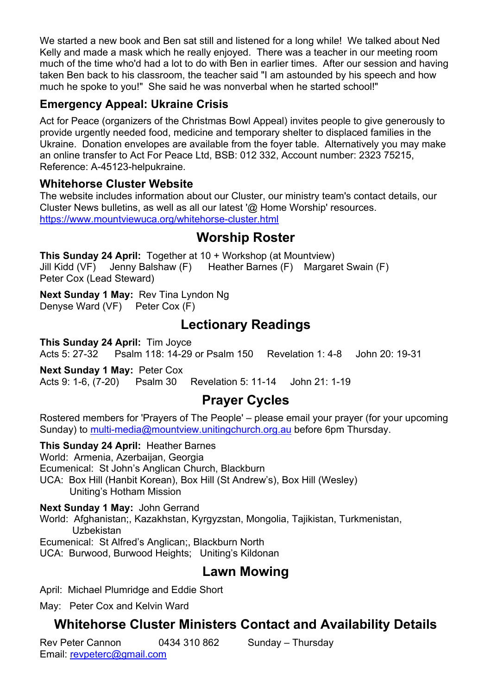We started a new book and Ben sat still and listened for a long while! We talked about Ned Kelly and made a mask which he really enjoyed. There was a teacher in our meeting room much of the time who'd had a lot to do with Ben in earlier times. After our session and having taken Ben back to his classroom, the teacher said "I am astounded by his speech and how much he spoke to you!" She said he was nonverbal when he started school!"

#### **Emergency Appeal: Ukraine Crisis**

Act for Peace (organizers of the Christmas Bowl Appeal) invites people to give generously to provide urgently needed food, medicine and temporary shelter to displaced families in the Ukraine. Donation envelopes are available from the foyer table. Alternatively you may make an online transfer to Act For Peace Ltd, BSB: 012 332, Account number: 2323 75215, Reference: A-45123-helpukraine.

#### **Whitehorse Cluster Website**

The website includes information about our Cluster, our ministry team's contact details, our Cluster News bulletins, as well as all our latest '@ Home Worship' resources. https://www.mountviewuca.org/whitehorse-cluster.html

### **Worship Roster**

**This Sunday 24 April:** Together at 10 + Workshop (at Mountview) Jill Kidd (VF) Jenny Balshaw (F) Heather Barnes (F) Margaret Swain (F) Peter Cox (Lead Steward)

**Next Sunday 1 May:** Rev Tina Lyndon Ng Denyse Ward (VF) Peter Cox (F)

# **Lectionary Readings**

**This Sunday 24 April:** Tim Joyce Acts 5: 27-32 Psalm 118: 14-29 or Psalm 150 Revelation 1: 4-8 John 20: 19-31

**Next Sunday 1 May:** Peter Cox Acts 9: 1-6, (7-20) Psalm 30 Revelation 5: 11-14 John 21: 1-19

# **Prayer Cycles**

Rostered members for 'Prayers of The People' – please email your prayer (for your upcoming Sunday) to multi-media@mountview.unitingchurch.org.au before 6pm Thursday.

#### **This Sunday 24 April:** Heather Barnes

World: Armenia, Azerbaijan, Georgia Ecumenical: St John's Anglican Church, Blackburn UCA: Box Hill (Hanbit Korean), Box Hill (St Andrew's), Box Hill (Wesley) Uniting's Hotham Mission

#### **Next Sunday 1 May:** John Gerrand

World: Afghanistan;, Kazakhstan, Kyrgyzstan, Mongolia, Tajikistan, Turkmenistan, Uzbekistan

Ecumenical: St Alfred's Anglican;, Blackburn North

UCA: Burwood, Burwood Heights; Uniting's Kildonan

# **Lawn Mowing**

April: Michael Plumridge and Eddie Short

May: Peter Cox and Kelvin Ward

# **Whitehorse Cluster Ministers Contact and Availability Details**

Rev Peter Cannon 0434 310 862 Sunday – Thursday Email: revpeterc@gmail.com